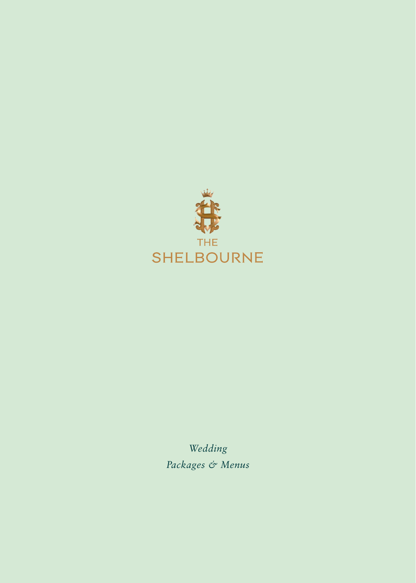

*Wedding Packages & Menus*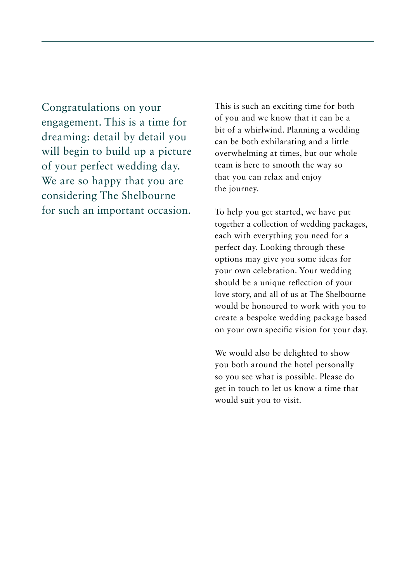Congratulations on your engagement. This is a time for dreaming: detail by detail you will begin to build up a picture of your perfect wedding day. We are so happy that you are considering The Shelbourne for such an important occasion.

This is such an exciting time for both of you and we know that it can be a bit of a whirlwind. Planning a wedding can be both exhilarating and a little overwhelming at times, but our whole team is here to smooth the way so that you can relax and enjoy the journey.

To help you get started, we have put together a collection of wedding packages, each with everything you need for a perfect day. Looking through these options may give you some ideas for your own celebration. Your wedding should be a unique reflection of your love story, and all of us at The Shelbourne would be honoured to work with you to create a bespoke wedding package based on your own specific vision for your day.

We would also be delighted to show you both around the hotel personally so you see what is possible. Please do get in touch to let us know a time that would suit you to visit.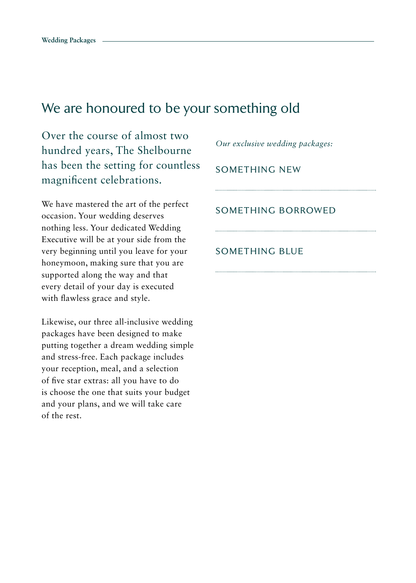## We are honoured to be your something old

Over the course of almost two hundred years, The Shelbourne has been the setting for countless magnificent celebrations.

We have mastered the art of the perfect occasion. Your wedding deserves nothing less. Your dedicated Wedding Executive will be at your side from the very beginning until you leave for your honeymoon, making sure that you are supported along the way and that every detail of your day is executed with flawless grace and style.

Likewise, our three all-inclusive wedding packages have been designed to make putting together a dream wedding simple and stress-free. Each package includes your reception, meal, and a selection of five star extras: all you have to do is choose the one that suits your budget and your plans, and we will take care of the rest.

*Our exclusive wedding packages:*

## SOMETHING NEW

### SOMETHING BORROWED

#### SOMETHING BLUE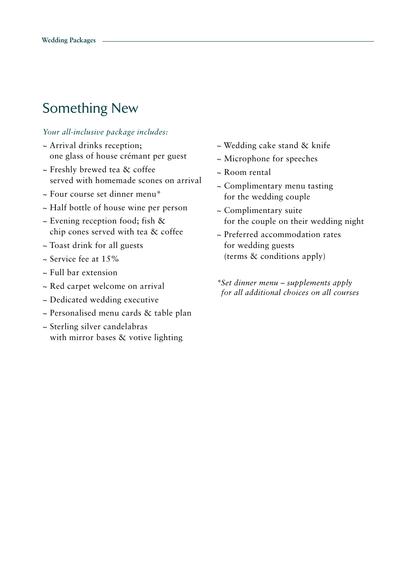# Something New

#### *Your all-inclusive package includes:*

- ~ Arrival drinks reception; one glass of house crémant per guest
- ~ Freshly brewed tea & coffee served with homemade scones on arrival
- ~ Four course set dinner menu\*
- ~ Half bottle of house wine per person
- ~ Evening reception food; fish & chip cones served with tea & coffee
- ~ Toast drink for all guests
- $\approx$  Service fee at 15%
- ~ Full bar extension
- ~ Red carpet welcome on arrival
- ~ Dedicated wedding executive
- ~ Personalised menu cards & table plan
- ~ Sterling silver candelabras with mirror bases & votive lighting
- ~ Wedding cake stand & knife
- ~ Microphone for speeches
- ~ Room rental
- ~ Complimentary menu tasting for the wedding couple
- ~ Complimentary suite for the couple on their wedding night
- ~ Preferred accommodation rates for wedding guests (terms & conditions apply)
- *\*Set dinner menu supplements apply for all additional choices on all courses*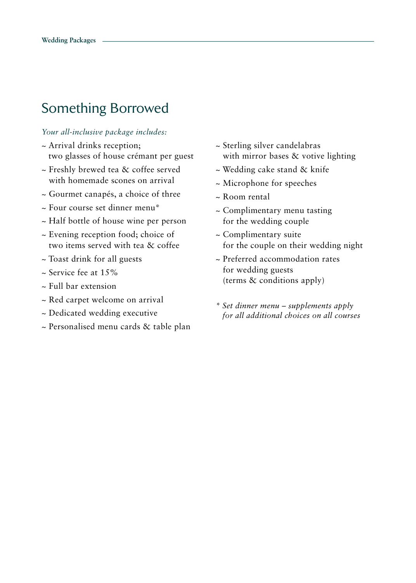## Something Borrowed

#### *Your all-inclusive package includes:*

- ~ Arrival drinks reception; two glasses of house crémant per guest
- ~ Freshly brewed tea & coffee served with homemade scones on arrival
- ~ Gourmet canapés, a choice of three
- ~ Four course set dinner menu\*
- ~ Half bottle of house wine per person
- ~ Evening reception food; choice of two items served with tea & coffee
- ~ Toast drink for all guests
- $\sim$  Service fee at 15%
- ~ Full bar extension
- ~ Red carpet welcome on arrival
- ~ Dedicated wedding executive
- ~ Personalised menu cards & table plan
- ~ Sterling silver candelabras with mirror bases & votive lighting
- ~ Wedding cake stand & knife
- ~ Microphone for speeches
- ~ Room rental
- ~ Complimentary menu tasting for the wedding couple
- ~ Complimentary suite for the couple on their wedding night
- ~ Preferred accommodation rates for wedding guests (terms & conditions apply)
- *\* Set dinner menu supplements apply for all additional choices on all courses*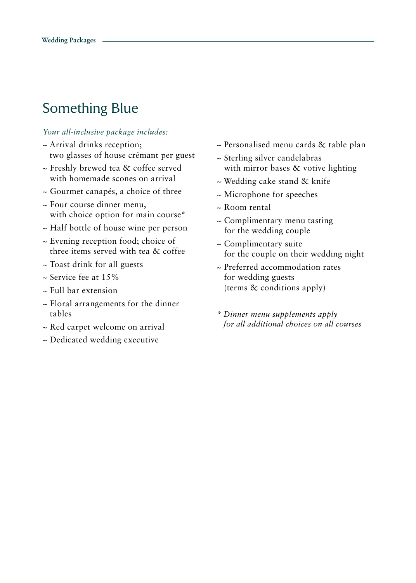# Something Blue

#### *Your all-inclusive package includes:*

- ~ Arrival drinks reception; two glasses of house crémant per guest
- ~ Freshly brewed tea & coffee served with homemade scones on arrival
- ~ Gourmet canapés, a choice of three
- ~ Four course dinner menu, with choice option for main course\*
- ~ Half bottle of house wine per person
- ~ Evening reception food; choice of three items served with tea & coffee
- ~ Toast drink for all guests
- ~ Service fee at 15%
- ~ Full bar extension
- ~ Floral arrangements for the dinner tables
- ~ Red carpet welcome on arrival
- ~ Dedicated wedding executive
- ~ Personalised menu cards & table plan
- ~ Sterling silver candelabras with mirror bases & votive lighting
- ~ Wedding cake stand & knife
- ~ Microphone for speeches
- ~ Room rental
- ~ Complimentary menu tasting for the wedding couple
- ~ Complimentary suite for the couple on their wedding night
- ~ Preferred accommodation rates for wedding guests (terms & conditions apply)
- *\* Dinner menu supplements apply for all additional choices on all courses*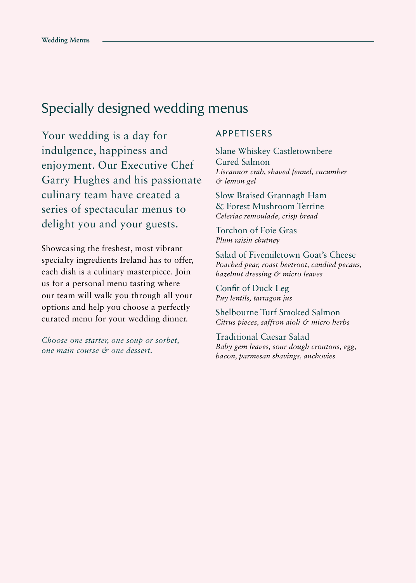## Specially designed wedding menus

Your wedding is a day for indulgence, happiness and enjoyment. Our Executive Chef Garry Hughes and his passionate culinary team have created a series of spectacular menus to delight you and your guests.

Showcasing the freshest, most vibrant specialty ingredients Ireland has to offer, each dish is a culinary masterpiece. Join us for a personal menu tasting where our team will walk you through all your options and help you choose a perfectly curated menu for your wedding dinner.

*Choose one starter, one soup or sorbet, one main course & one dessert.*

#### APPETISERS

Slane Whiskey Castletownbere Cured Salmon *Liscannor crab, shaved fennel, cucumber & lemon gel*

Slow Braised Grannagh Ham & Forest Mushroom Terrine *Celeriac remoulade, crisp bread*

Torchon of Foie Gras *Plum raisin chutney* 

Salad of Fivemiletown Goat's Cheese *Poached pear, roast beetroot, candied pecans, hazelnut dressing & micro leaves*

Confit of Duck Leg *Puy lentils, tarragon jus*

Shelbourne Turf Smoked Salmon *Citrus pieces, saffron aioli & micro herbs*

Traditional Caesar Salad *Baby gem leaves, sour dough croutons, egg, bacon, parmesan shavings, anchovies*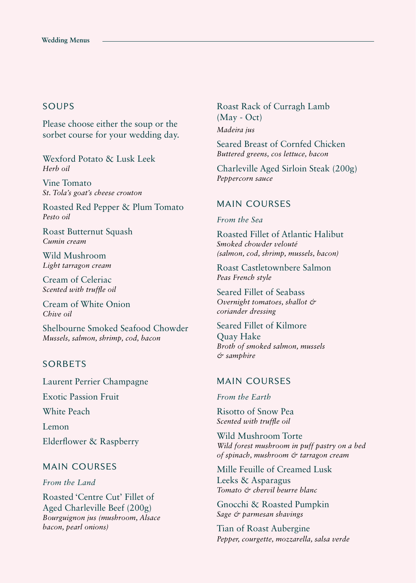### SOUPS

Please choose either the soup or the sorbet course for your wedding day.

Wexford Potato & Lusk Leek *Herb oil*

Vine Tomato *St. Tola's goat's cheese crouton*

Roasted Red Pepper & Plum Tomato *Pesto oil*

Roast Butternut Squash *Cumin cream*

Wild Mushroom *Light tarragon cream*

Cream of Celeriac *Scented with truffle oil*

Cream of White Onion *Chive oil*

Shelbourne Smoked Seafood Chowder *Mussels, salmon, shrimp, cod, bacon* 

### SORBETS

Laurent Perrier Champagne Exotic Passion Fruit White Peach Lemon

Elderflower & Raspberry

#### MAIN COURSES

*From the Land*

Roasted 'Centre Cut' Fillet of Aged Charleville Beef (200g) *Bourguignon jus (mushroom, Alsace bacon, pearl onions)* 

Roast Rack of Curragh Lamb (May - Oct) *Madeira jus* 

Seared Breast of Cornfed Chicken *Buttered greens, cos lettuce, bacon*

Charleville Aged Sirloin Steak (200g) *Peppercorn sauce*

#### MAIN COURSES

*From the Sea*

Roasted Fillet of Atlantic Halibut *Smoked chowder velouté (salmon, cod, shrimp, mussels, bacon)*

Roast Castletownbere Salmon *Peas French style*

Seared Fillet of Seabass *Overnight tomatoes, shallot & coriander dressing*

Seared Fillet of Kilmore Quay Hake *Broth of smoked salmon, mussels & samphire*

### MAIN COURSES

*From the Earth*

Risotto of Snow Pea *Scented with truffle oil* 

Wild Mushroom Torte *Wild forest mushroom in puff pastry on a bed of spinach, mushroom & tarragon cream*

Mille Feuille of Creamed Lusk Leeks & Asparagus *Tomato & chervil beurre blanc*

Gnocchi & Roasted Pumpkin *Sage & parmesan shavings*

Tian of Roast Aubergine *Pepper, courgette, mozzarella, salsa verde*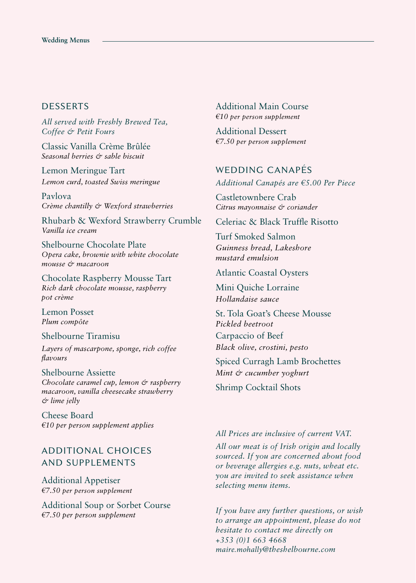### **DESSERTS**

*All served with Freshly Brewed Tea, Coffee & Petit Fours*

Classic Vanilla Crème Brûlée *Seasonal berries & sable biscuit*

Lemon Meringue Tart *Lemon curd, toasted Swiss meringue*

Pavlova *Crème chantilly & Wexford strawberries*

Rhubarb & Wexford Strawberry Crumble *Vanilla ice cream*

Shelbourne Chocolate Plate *Opera cake, brownie with white chocolate mousse & macaroon*

Chocolate Raspberry Mousse Tart *Rich dark chocolate mousse, raspberry pot crème*

Lemon Posset *Plum compôte*

Shelbourne Tiramisu *Layers of mascarpone, sponge, rich coffee flavours*

Shelbourne Assiette *Chocolate caramel cup, lemon & raspberry macaroon, vanilla cheesecake strawberry & lime jelly*

Cheese Board *€10 per person supplement applies* 

## ADDITIONAL CHOICES AND SUPPLEMENTS

Additional Appetiser *€7.50 per person supplement* 

Additional Soup or Sorbet Course *€7.50 per person supplement*

Additional Main Course *€10 per person supplement*

Additional Dessert *€7.50 per person supplement*

### WEDDING CANAPÉS

*Additional Canapés are €5.00 Per Piece*

Castletownbere Crab *Citrus mayonnaise & coriander*

Celeriac & Black Truffle Risotto

Turf Smoked Salmon *Guinness bread, Lakeshore mustard emulsion*

Atlantic Coastal Oysters

Mini Quiche Lorraine *Hollandaise sauce*

St. Tola Goat's Cheese Mousse *Pickled beetroot* Carpaccio of Beef *Black olive, crostini, pesto*

Spiced Curragh Lamb Brochettes *Mint & cucumber yoghurt*

Shrimp Cocktail Shots

#### *All Prices are inclusive of current VAT.*

*All our meat is of Irish origin and locally sourced. If you are concerned about food or beverage allergies e.g. nuts, wheat etc. you are invited to seek assistance when selecting menu items.*

*If you have any further questions, or wish to arrange an appointment, please do not hesitate to contact me directly on +353 (0)1 663 4668 maire.mohally@theshelbourne.com*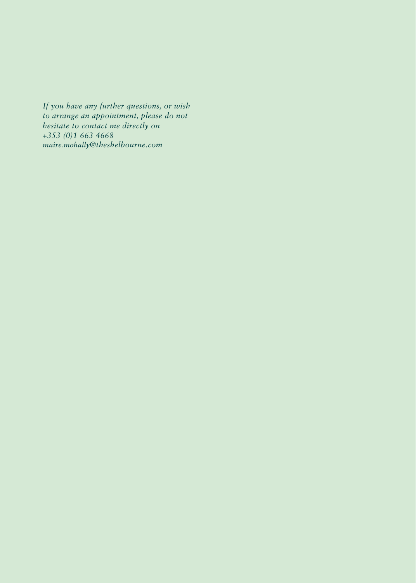*If you have any further questions, or wish to arrange an appointment, please do not hesitate to contact me directly on +353 (0)1 663 4668 maire.mohally@theshelbourne.com*